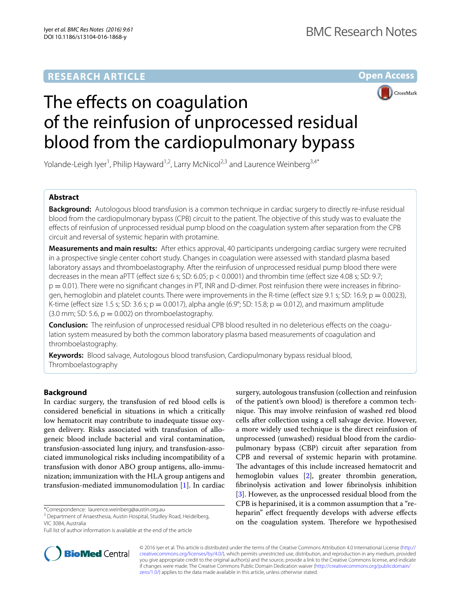## **RESEARCH ARTICLE**

**Open Access**



# The effects on coagulation of the reinfusion of unprocessed residual blood from the cardiopulmonary bypass

Yolande-Leigh Iyer<sup>1</sup>, Philip Hayward<sup>1,2</sup>, Larry McNicol<sup>2,3</sup> and Laurence Weinberg<sup>3,4\*</sup>

## **Abstract**

**Background:** Autologous blood transfusion is a common technique in cardiac surgery to directly re-infuse residual blood from the cardiopulmonary bypass (CPB) circuit to the patient. The objective of this study was to evaluate the effects of reinfusion of unprocessed residual pump blood on the coagulation system after separation from the CPB circuit and reversal of systemic heparin with protamine.

**Measurements and main results:** After ethics approval, 40 participants undergoing cardiac surgery were recruited in a prospective single center cohort study. Changes in coagulation were assessed with standard plasma based laboratory assays and thromboelastography. After the reinfusion of unprocessed residual pump blood there were decreases in the mean aPTT (effect size 6 s; SD: 6.05; p < 0.0001) and thrombin time (effect size 4.08 s; SD: 9.7;  $p = 0.01$ ). There were no significant changes in PT, INR and D-dimer. Post reinfusion there were increases in fibrinogen, hemoglobin and platelet counts. There were improvements in the R-time (effect size 9.1 s; SD: 16.9;  $p = 0.0023$ ), K-time (effect size 1.5 s; SD: 3.6 s;  $p = 0.0017$ ), alpha angle (6.9°; SD: 15.8;  $p = 0.012$ ), and maximum amplitude  $(3.0 \text{ mm}; SD: 5.6, p = 0.002)$  on thromboelastography.

**Conclusion:** The reinfusion of unprocessed residual CPB blood resulted in no deleterious effects on the coagulation system measured by both the common laboratory plasma based measurements of coagulation and thromboelastography.

**Keywords:** Blood salvage, Autologous blood transfusion, Cardiopulmonary bypass residual blood, Thromboelastography

## **Background**

In cardiac surgery, the transfusion of red blood cells is considered beneficial in situations in which a critically low hematocrit may contribute to inadequate tissue oxygen delivery. Risks associated with transfusion of allogeneic blood include bacterial and viral contamination, transfusion-associated lung injury, and transfusion-associated immunological risks including incompatibility of a transfusion with donor ABO group antigens, allo-immunization; immunization with the HLA group antigens and transfusion-mediated immunomodulation [\[1](#page-6-0)]. In cardiac

\*Correspondence: laurence.weinberg@austin.org.au

Full list of author information is available at the end of the article



surgery, autologous transfusion (collection and reinfusion of the patient's own blood) is therefore a common technique. This may involve reinfusion of washed red blood cells after collection using a cell salvage device. However, a more widely used technique is the direct reinfusion of unprocessed (unwashed) residual blood from the cardiopulmonary bypass (CBP) circuit after separation from CPB and reversal of systemic heparin with protamine. The advantages of this include increased hematocrit and hemoglobin values [\[2](#page-6-1)], greater thrombin generation, fibrinolysis activation and lower fibrinolysis inhibition [[3\]](#page-6-2). However, as the unprocessed residual blood from the CPB is heparinised, it is a common assumption that a "reheparin" effect frequently develops with adverse effects on the coagulation system. Therefore we hypothesised

© 2016 Iyer et al. This article is distributed under the terms of the Creative Commons Attribution 4.0 International License [\(http://](http://creativecommons.org/licenses/by/4.0/) [creativecommons.org/licenses/by/4.0/](http://creativecommons.org/licenses/by/4.0/)), which permits unrestricted use, distribution, and reproduction in any medium, provided you give appropriate credit to the original author(s) and the source, provide a link to the Creative Commons license, and indicate if changes were made. The Creative Commons Public Domain Dedication waiver ([http://creativecommons.org/publicdomain/](http://creativecommons.org/publicdomain/zero/1.0/) [zero/1.0/](http://creativecommons.org/publicdomain/zero/1.0/)) applies to the data made available in this article, unless otherwise stated.

<sup>&</sup>lt;sup>3</sup> Department of Anaesthesia, Austin Hospital, Studley Road, Heidelberg, VIC 3084, Australia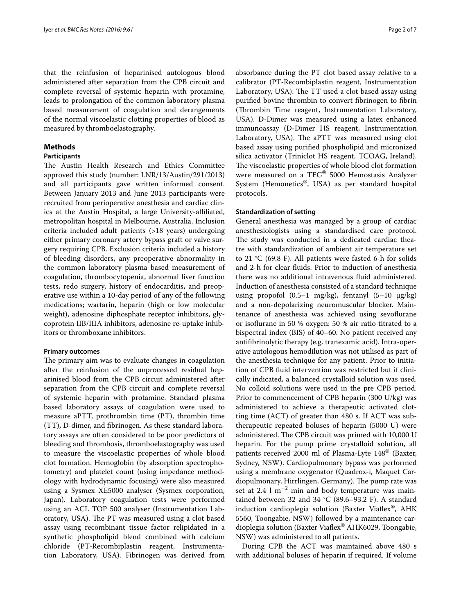that the reinfusion of heparinised autologous blood administered after separation from the CPB circuit and complete reversal of systemic heparin with protamine, leads to prolongation of the common laboratory plasma based measurement of coagulation and derangements of the normal viscoelastic clotting properties of blood as measured by thromboelastography.

#### **Methods**

#### **Participants**

The Austin Health Research and Ethics Committee approved this study (number: LNR/13/Austin/291/2013) and all participants gave written informed consent. Between January 2013 and June 2013 participants were recruited from perioperative anesthesia and cardiac clinics at the Austin Hospital, a large University-affiliated, metropolitan hospital in Melbourne, Australia. Inclusion criteria included adult patients (>18 years) undergoing either primary coronary artery bypass graft or valve surgery requiring CPB. Exclusion criteria included a history of bleeding disorders, any preoperative abnormality in the common laboratory plasma based measurement of coagulation, thrombocytopenia, abnormal liver function tests, redo surgery, history of endocarditis, and preoperative use within a 10-day period of any of the following medications; warfarin, heparin (high or low molecular weight), adenosine diphosphate receptor inhibitors, glycoprotein IIB/IIIA inhibitors, adenosine re-uptake inhibitors or thromboxane inhibitors.

#### **Primary outcomes**

The primary aim was to evaluate changes in coagulation after the reinfusion of the unprocessed residual heparinised blood from the CPB circuit administered after separation from the CPB circuit and complete reversal of systemic heparin with protamine. Standard plasma based laboratory assays of coagulation were used to measure aPTT, prothrombin time (PT), thrombin time (TT), D-dimer, and fibrinogen. As these standard laboratory assays are often considered to be poor predictors of bleeding and thrombosis, thromboelastography was used to measure the viscoelastic properties of whole blood clot formation. Hemoglobin (by absorption spectrophotometry) and platelet count (using impedance methodology with hydrodynamic focusing) were also measured using a Sysmex XE5000 analyser (Sysmex corporation, Japan). Laboratory coagulation tests were performed using an ACL TOP 500 analyser (Instrumentation Laboratory, USA). The PT was measured using a clot based assay using recombinant tissue factor relipidated in a synthetic phospholipid blend combined with calcium chloride (PT-Recombiplastin reagent, Instrumentation Laboratory, USA). Fibrinogen was derived from

absorbance during the PT clot based assay relative to a calibrator (PT-Recombiplastin reagent, Instrumentation Laboratory, USA). The TT used a clot based assay using purified bovine thrombin to convert fibrinogen to fibrin (Thrombin Time reagent, Instrumentation Laboratory, USA). D-Dimer was measured using a latex enhanced immunoassay (D-Dimer HS reagent, Instrumentation Laboratory, USA). The aPTT was measured using clot based assay using purified phospholipid and micronized silica activator (Triniclot HS reagent, TCOAG, Ireland). The viscoelastic properties of whole blood clot formation were measured on a TEG® 5000 Hemostasis Analyzer System (Hemonetics®, USA) as per standard hospital protocols.

#### **Standardization of setting**

General anesthesia was managed by a group of cardiac anesthesiologists using a standardised care protocol. The study was conducted in a dedicated cardiac theatre with standardization of ambient air temperature set to 21 °C (69.8 F). All patients were fasted 6-h for solids and 2-h for clear fluids. Prior to induction of anesthesia there was no additional intravenous fluid administered. Induction of anesthesia consisted of a standard technique using propofol (0.5–1 mg/kg), fentanyl (5–10 μg/kg) and a non-depolarizing neuromuscular blocker. Maintenance of anesthesia was achieved using sevoflurane or isoflurane in 50 % oxygen: 50 % air ratio titrated to a bispectral index (BIS) of 40–60. No patient received any antifibrinolytic therapy (e.g. tranexamic acid). Intra-operative autologous hemodilution was not utilised as part of the anesthesia technique for any patient. Prior to initiation of CPB fluid intervention was restricted but if clinically indicated, a balanced crystalloid solution was used. No colloid solutions were used in the pre CPB period. Prior to commencement of CPB heparin (300 U/kg) was administered to achieve a therapeutic activated clotting time (ACT) of greater than 480 s. If ACT was subtherapeutic repeated boluses of heparin (5000 U) were administered. The CPB circuit was primed with 10,000 U heparin. For the pump prime crystalloid solution, all patients received 2000 ml of Plasma-Lyte 148<sup>®</sup> (Baxter, Sydney, NSW). Cardiopulmonary bypass was performed using a membrane oxygenator (Quadrox-i, Maquet Cardiopulmonary, Hirrlingen, Germany). The pump rate was set at 2.4  $\text{l m}^{-2}$  min and body temperature was maintained between 32 and 34 °C (89.6-93.2 F). A standard induction cardioplegia solution (Baxter Viaflex®, AHK 5560, Toongabie, NSW) followed by a maintenance cardioplegia solution (Baxter Viaflex® AHK6029, Toongabie, NSW) was administered to all patients.

During CPB the ACT was maintained above 480 s with additional boluses of heparin if required. If volume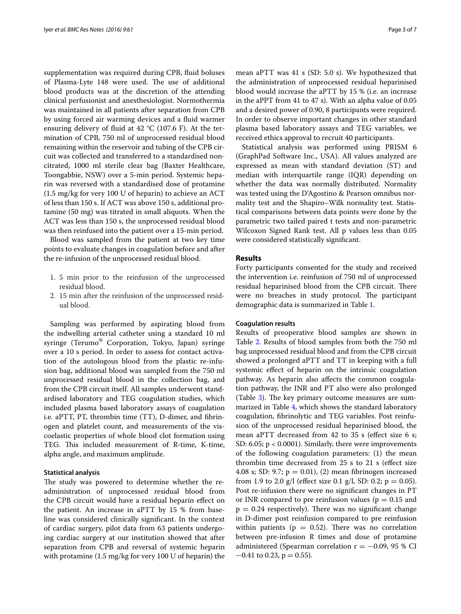supplementation was required during CPB, fluid boluses of Plasma-Lyte 148 were used. The use of additional blood products was at the discretion of the attending clinical perfusionist and anesthesiologist. Normothermia was maintained in all patients after separation from CPB by using forced air warming devices and a fluid warmer ensuring delivery of fluid at  $42 \text{ °C}$  (107.6 F). At the termination of CPB, 750 ml of unprocessed residual blood remaining within the reservoir and tubing of the CPB circuit was collected and transferred to a standardised noncitrated, 1000 ml sterile clear bag (Baxter Healthcare, Toongabbie, NSW) over a 5-min period. Systemic heparin was reversed with a standardised dose of protamine (1.5 mg/kg for very 100 U of heparin) to achieve an ACT of less than 150 s. If ACT was above 150 s, additional protamine (50 mg) was titrated in small aliquots. When the ACT was less than 150 s, the unprocessed residual blood was then reinfused into the patient over a 15-min period.

Blood was sampled from the patient at two key time points to evaluate changes in coagulation before and after the re-infusion of the unprocessed residual blood.

- 1. 5 min prior to the reinfusion of the unprocessed residual blood.
- 2. 15 min after the reinfusion of the unprocessed residual blood.

Sampling was performed by aspirating blood from the indwelling arterial catheter using a standard 10 ml syringe (Terumo® Corporation, Tokyo, Japan) syringe over a 10 s period. In order to assess for contact activation of the autologous blood from the plastic re-infusion bag, additional blood was sampled from the 750 ml unprocessed residual blood in the collection bag, and from the CPB circuit itself. All samples underwent standardised laboratory and TEG coagulation studies, which included plasma based laboratory assays of coagulation i.e. aPTT, PT, thrombin time (TT), D-dimer, and fibrinogen and platelet count, and measurements of the viscoelastic properties of whole blood clot formation using TEG. This included measurement of R-time, K-time, alpha angle, and maximum amplitude.

#### **Statistical analysis**

The study was powered to determine whether the readministration of unprocessed residual blood from the CPB circuit would have a residual heparin effect on the patient. An increase in aPTT by 15 % from baseline was considered clinically significant. In the context of cardiac surgery, pilot data from 63 patients undergoing cardiac surgery at our institution showed that after separation from CPB and reversal of systemic heparin with protamine (1.5 mg/kg for very 100 U of heparin) the

mean aPTT was 41 s (SD: 5.0 s). We hypothesized that the administration of unprocessed residual heparinised blood would increase the aPTT by 15 % (i.e. an increase in the aPPT from 41 to 47 s). With an alpha value of 0.05 and a desired power of 0.90, 8 participants were required. In order to observe important changes in other standard plasma based laboratory assays and TEG variables, we received ethics approval to recruit 40 participants.

Statistical analysis was performed using PRISM 6 (GraphPad Software Inc., USA). All values analyzed are expressed as mean with standard deviation (ST) and median with interquartile range (IQR) depending on whether the data was normally distributed. Normality was tested using the D'Agostino & Pearson omnibus normality test and the Shapiro–Wilk normality test. Statistical comparisons between data points were done by the parametric two tailed paired t tests and non-parametric Wilcoxon Signed Rank test. All p values less than 0.05 were considered statistically significant.

#### **Results**

Forty participants consented for the study and received the intervention i.e. reinfusion of 750 ml of unprocessed residual heparinised blood from the CPB circuit. There were no breaches in study protocol. The participant demographic data is summarized in Table [1](#page-3-0).

#### **Coagulation results**

Results of preoperative blood samples are shown in Table [2](#page-3-1). Results of blood samples from both the 750 ml bag unprocessed residual blood and from the CPB circuit showed a prolonged aPTT and TT in keeping with a full systemic effect of heparin on the intrinsic coagulation pathway. As heparin also affects the common coagulation pathway, the INR and PT also were also prolonged (Table [3\)](#page-3-2). The key primary outcome measures are summarized in Table [4,](#page-4-0) which shows the standard laboratory coagulation, fibrinolytic and TEG variables. Post reinfusion of the unprocessed residual heparinised blood, the mean aPTT decreased from 42 to 35 s (effect size 6 s; SD:  $6.05$ ;  $p < 0.0001$ ). Similarly, there were improvements of the following coagulation parameters: (1) the mean thrombin time decreased from 25 s to 21 s (effect size 4.08 s; SD: 9.7;  $p = 0.01$ ), (2) mean fibrinogen increased from 1.9 to 2.0 g/l (effect size 0.1 g/l, SD: 0.2;  $p = 0.05$ ). Post re-infusion there were no significant changes in PT or INR compared to pre reinfusion values ( $p = 0.15$  and  $p = 0.24$  respectively). There was no significant change in D-dimer post reinfusion compared to pre reinfusion within patients ( $p = 0.52$ ). There was no correlation between pre-infusion R times and dose of protamine administered (Spearman correlation  $r = -0.09$ , 95 % CI  $-0.41$  to 0.23, p = 0.55).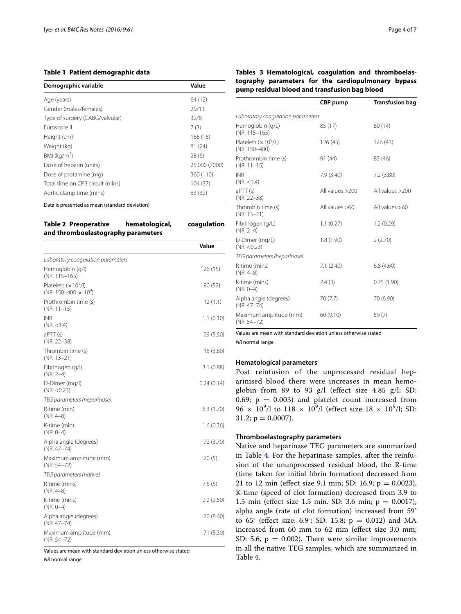#### <span id="page-3-0"></span>**Table 1 Patient demographic data**

| Demographic variable             | Value         |  |
|----------------------------------|---------------|--|
| Age (years)                      | 64 (12)       |  |
| Gender (males/females)           | 29/11         |  |
| Type of surgery (CABG/valvular)  | 32/8          |  |
| Furoscore II                     | 7(3)          |  |
| Height (cm)                      | 166(15)       |  |
| Weight (kg)                      | 81 (24)       |  |
| BMI ( $kg/m2$ )                  | 28(6)         |  |
| Dose of heparin (units)          | 25,000 (7000) |  |
| Dose of protamine (mg)           | 360 (110)     |  |
| Total time on CPB circuit (mins) | 104(37)       |  |
| Aortic clamp time (mins)         | 83 (32)       |  |

Data is presented as mean (standard deviation)

## <span id="page-3-1"></span>**Table 2 Preoperative hematological, coagulation and thromboelastography parameters**

**Value**

|                                                                   | vaiue      |
|-------------------------------------------------------------------|------------|
| Laboratory coagulation parameters                                 |            |
| Hemoglobin (g/l)<br>(NR: 115-165)                                 | 126(15)    |
| Platelets $(x 10^9/l)$<br>(NR: 150-400 $\times$ 10 <sup>9</sup> ) | 190 (52)   |
| Prothrombin time (s)<br>$(NR: 11-15)$                             | 12(1.1)    |
| INR<br>(NR: < 1.4)                                                | 1.1(0.10)  |
| aPTT(s)<br>(NR: 22-38)                                            | 29 (5.50)  |
| Thrombin time (s)<br>(NR: 13-21)                                  | 18 (3.60)  |
| Fibrinogen (g/l)<br>$(NR: 2-4)$                                   | 3.1(0.88)  |
| D-Dimer (mg/l)<br>(NR: < 0.23)                                    | 0.24(0.14) |
| TEG parameters (heparinase)                                       |            |
| R-time (min)<br>$(NR: 4-8)$                                       | 6.3(1.70)  |
| K-time (min)<br>$(NR: 0-4)$                                       | 1.6(0.36)  |
| Alpha angle (degrees)<br>(NR: 47-74)                              | 72 (3.70)  |
| Maximum amplitude (mm)<br>(NR: 54-72)                             | 70(5)      |
| TEG parameters (native)                                           |            |
| R-time (mins)<br>$(NR: 4-8)$                                      | 7.5(5)     |
| K-time (mins)<br>$(NR: 0-4)$                                      | 2.2(2.50)  |
| Alpha angle (degrees)<br>(NR: 47-74)                              | 70 (8.60)  |
| Maximum amplitude (mm)<br>(NR: 54-72)                             | 71 (5.30)  |

Values are mean with standard deviation unless otherwise stated

*NR* normal range

## <span id="page-3-2"></span>**Tables 3 Hematological, coagulation and thromboelastography parameters for the cardiopulmonary bypass pump residual blood and transfusion bag blood**

|                                         | CBP pump         | <b>Transfusion bag</b> |  |  |  |
|-----------------------------------------|------------------|------------------------|--|--|--|
| Laboratory coagulation parameters       |                  |                        |  |  |  |
| Hemoglobin (g/L)<br>(NR: 115-165)       | 85 (17)          | 80 (14)                |  |  |  |
| Platelets $(x 10^9/L)$<br>(NR: 150-400) | 126(45)          | 126 (43)               |  |  |  |
| Prothrombin time (s)<br>$(NR: 11-15)$   | 91 (44)          | 85 (46)                |  |  |  |
| <b>INR</b><br>(NR: < 1.4)               | 7.9(3.40)        | 7.2(3.80)              |  |  |  |
| aPTT(s)<br>(NR: 22-38)                  | All values >200  | All values >200        |  |  |  |
| Thrombin time (s)<br>(NR: 13-21)        | All values $>60$ | All values >60         |  |  |  |
| Fibrinogen (g/L)<br>$(NR: 2-4)$         | 1.1(0.27)        | 1.2(0.29)              |  |  |  |
| D-Dimer (mg/L)<br>(NR: < 0.23)          | 1.8(1.90)        | 2(2.70)                |  |  |  |
| TEG parameters (heparinase)             |                  |                        |  |  |  |
| R-time (mins)<br>$(NR: 4-8)$            | 7.1(2.40)        | 6.8(4.60)              |  |  |  |
| K-time (mins)<br>$(NR: 0-4)$            | 2.4(3)           | 0.75(1.90)             |  |  |  |
| Alpha angle (degrees)<br>(NR: 47-74)    | 70(7.7)          | 70 (6.90)              |  |  |  |
| Maximum amplitude (mm)<br>(NR: 54-72)   | 60(9.10)         | 59(7)                  |  |  |  |

Values are mean with standard deviation unless otherwise stated *NR* normal range

#### **Hematological parameters**

Post reinfusion of the unprocessed residual heparinised blood there were increases in mean hemoglobin from 89 to 93 g/l (effect size 4.85 g/l; SD: 0.69;  $p = 0.003$ ) and platelet count increased from  $96 \times 10^9$ /l to  $118 \times 10^9$ /l (effect size  $18 \times 10^9$ /l; SD: 31.2;  $p = 0.0007$ ).

#### **Thromboelastography parameters**

Native and heparinase TEG parameters are summarized in Table [4.](#page-4-0) For the heparinase samples, after the reinfusion of the ununprocessed residual blood, the R-time (time taken for initial fibrin formation) decreased from 21 to 12 min (effect size 9.1 min; SD: 16.9;  $p = 0.0023$ ), K-time (speed of clot formation) decreased from 3.9 to 1.5 min (effect size 1.5 min. SD: 3.6 min;  $p = 0.0017$ ), alpha angle (rate of clot formation) increased from 59° to  $65^{\circ}$  (effect size: 6.9°; SD: 15.8; p = 0.012) and MA increased from 60 mm to 62 mm (effect size 3.0 mm; SD: 5.6,  $p = 0.002$ ). There were similar improvements in all the native TEG samples, which are summarized in Table [4](#page-4-0).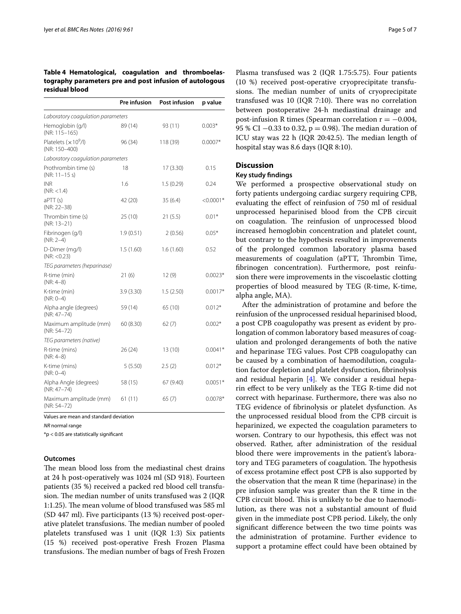## <span id="page-4-0"></span>**Table 4 Hematological, coagulation and thromboelastography parameters pre and post infusion of autologous residual blood**

|                                                                        | Pre infusion | Post infusion | p value     |  |  |
|------------------------------------------------------------------------|--------------|---------------|-------------|--|--|
|                                                                        |              |               |             |  |  |
| Laboratory coagulation parameters<br>Hemoglobin (g/l)<br>(NR: 115-165) | 89 (14)      | 93 (11)       | $0.003*$    |  |  |
| Platelets $(x 10^9/l)$<br>(NR: 150-400)                                | 96 (34)      | 118 (39)      | $0.0007*$   |  |  |
| Laboratory coagulation parameters                                      |              |               |             |  |  |
| Prothrombin time (s)<br>(NR: 11-15 s)                                  | 18           | 17 (3.30)     | 0.15        |  |  |
| <b>INR</b><br>(NR: < 1.4)                                              | 1.6          | 1.5(0.29)     | 0.24        |  |  |
| aPTT(s)<br>(NR: 22-38)                                                 | 42 (20)      | 35(6.4)       | $< 0.0001*$ |  |  |
| Thrombin time (s)<br>(NR: 13-21)                                       | 25 (10)      | 21(5.5)       | $0.01*$     |  |  |
| Fibrinogen (g/l)<br>$(NR: 2-4)$                                        | 1.9(0.51)    | 2(0.56)       | $0.05*$     |  |  |
| D-Dimer (mg/l)<br>(NR: < 0.23)                                         | 1.5(1.60)    | 1.6(1.60)     | 0.52        |  |  |
| TEG parameters (heparinase)                                            |              |               |             |  |  |
| R-time (min)<br>$(NR: 4-8)$                                            | 21 (6)       | 12(9)         | $0.0023*$   |  |  |
| K-time (min)<br>$(NR: 0-4)$                                            | 3.9(3.30)    | 1.5(2.50)     | $0.0017*$   |  |  |
| Alpha angle (degrees)<br>(NR: 47-74)                                   | 59 (14)      | 65 (10)       | $0.012*$    |  |  |
| Maximum amplitude (mm)<br>(NR: 54-72)                                  | 60 (8.30)    | 62(7)         | $0.002*$    |  |  |
| TEG parameters (native)                                                |              |               |             |  |  |
| R-time (mins)<br>$(NR: 4-8)$                                           | 26(24)       | 13(10)        | $0.0041*$   |  |  |
| K-time (mins)<br>$(NR: 0-4)$                                           | 5(5.50)      | 2.5(2)        | $0.012*$    |  |  |
| Alpha Angle (degrees)<br>$(NR: 47 - 74)$                               | 58 (15)      | 67 (9.40)     | $0.0051*$   |  |  |
| Maximum amplitude (mm)<br>(NR: 54-72)                                  | 61 (11)      | 65(7)         | $0.0078*$   |  |  |

Values are mean and standard deviation

*NR* normal range

\*p < 0.05 are statistically significant

#### **Outcomes**

The mean blood loss from the mediastinal chest drains at 24 h post-operatively was 1024 ml (SD 918). Fourteen patients (35 %) received a packed red blood cell transfusion. The median number of units transfused was 2 (IQR 1:1.25). The mean volume of blood transfused was 585 ml (SD 447 ml). Five participants (13 %) received post-operative platelet transfusions. The median number of pooled platelets transfused was 1 unit (IQR 1:3) Six patients (15 %) received post-operative Fresh Frozen Plasma transfusions. The median number of bags of Fresh Frozen

Plasma transfused was 2 (IQR 1.75:5.75). Four patients (10 %) received post-operative cryoprecipitate transfusions. The median number of units of cryoprecipitate transfused was 10 (IQR 7:10). There was no correlation between postoperative 24-h mediastinal drainage and post-infusion R times (Spearman correlation  $r = -0.004$ , 95 % CI −0.33 to 0.32, p = 0.98). The median duration of ICU stay was 22 h (IQR 20:42.5). The median length of hospital stay was 8.6 days (IQR 8:10).

#### **Discussion**

#### **Key study findings**

We performed a prospective observational study on forty patients undergoing cardiac surgery requiring CPB, evaluating the effect of reinfusion of 750 ml of residual unprocessed heparinised blood from the CPB circuit on coagulation. The reinfusion of unprocessed blood increased hemoglobin concentration and platelet count, but contrary to the hypothesis resulted in improvements of the prolonged common laboratory plasma based measurements of coagulation (aPTT, Thrombin Time, fibrinogen concentration). Furthermore, post reinfusion there were improvements in the viscoelastic clotting properties of blood measured by TEG (R-time, K-time, alpha angle, MA).

After the administration of protamine and before the reinfusion of the unprocessed residual heparinised blood, a post CPB coagulopathy was present as evident by prolongation of common laboratory based measures of coagulation and prolonged derangements of both the native and heparinase TEG values. Post CPB coagulopathy can be caused by a combination of haemodilution, coagulation factor depletion and platelet dysfunction, fibrinolysis and residual heparin [\[4](#page-6-3)]. We consider a residual heparin effect to be very unlikely as the TEG R-time did not correct with heparinase. Furthermore, there was also no TEG evidence of fibrinolysis or platelet dysfunction. As the unprocessed residual blood from the CPB circuit is heparinized, we expected the coagulation parameters to worsen. Contrary to our hypothesis, this effect was not observed. Rather, after administration of the residual blood there were improvements in the patient's laboratory and TEG parameters of coagulation. The hypothesis of excess protamine effect post CPB is also supported by the observation that the mean R time (heparinase) in the pre infusion sample was greater than the R time in the CPB circuit blood. This is unlikely to be due to haemodilution, as there was not a substantial amount of fluid given in the immediate post CPB period. Likely, the only significant difference between the two time points was the administration of protamine. Further evidence to support a protamine effect could have been obtained by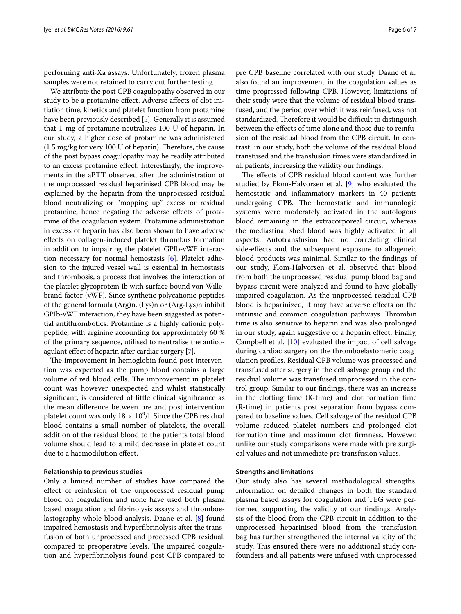performing anti-Xa assays. Unfortunately, frozen plasma samples were not retained to carry out further testing.

We attribute the post CPB coagulopathy observed in our study to be a protamine effect. Adverse affects of clot initiation time, kinetics and platelet function from protamine have been previously described [\[5](#page-6-4)]. Generally it is assumed that 1 mg of protamine neutralizes 100 U of heparin. In our study, a higher dose of protamine was administered (1.5 mg/kg for very 100 U of heparin). Therefore, the cause of the post bypass coagulopathy may be readily attributed to an excess protamine effect. Interestingly, the improvements in the aPTT observed after the administration of the unprocessed residual heparinised CPB blood may be explained by the heparin from the unprocessed residual blood neutralizing or "mopping up" excess or residual protamine, hence negating the adverse effects of protamine of the coagulation system. Protamine administration in excess of heparin has also been shown to have adverse effects on collagen-induced platelet thrombus formation in addition to impairing the platelet GPIb-vWF interaction necessary for normal hemostasis [\[6\]](#page-6-5). Platelet adhesion to the injured vessel wall is essential in hemostasis and thrombosis, a process that involves the interaction of the platelet glycoprotein Ib with surface bound von Willebrand factor (vWF). Since synthetic polycationic peptides of the general formula (Arg)n, (Lys)n or (Arg-Lys)n inhibit GPIb-vWF interaction, they have been suggested as potential antithrombotics. Protamine is a highly cationic polypeptide, with arginine accounting for approximately 60 % of the primary sequence, utilised to neutralise the anticoagulant effect of heparin after cardiac surgery [[7\]](#page-6-6).

The improvement in hemoglobin found post intervention was expected as the pump blood contains a large volume of red blood cells. The improvement in platelet count was however unexpected and whilst statistically significant, is considered of little clinical significance as the mean difference between pre and post intervention platelet count was only  $18 \times 10^9$ /l. Since the CPB residual blood contains a small number of platelets, the overall addition of the residual blood to the patients total blood volume should lead to a mild decrease in platelet count due to a haemodilution effect.

#### **Relationship to previous studies**

Only a limited number of studies have compared the effect of reinfusion of the unprocessed residual pump blood on coagulation and none have used both plasma based coagulation and fibrinolysis assays and thromboelastography whole blood analysis. Daane et al. [\[8](#page-6-7)] found impaired hemostasis and hyperfibrinolysis after the transfusion of both unprocessed and processed CPB residual, compared to preoperative levels. The impaired coagulation and hyperfibrinolysis found post CPB compared to

pre CPB baseline correlated with our study. Daane et al. also found an improvement in the coagulation values as time progressed following CPB. However, limitations of their study were that the volume of residual blood transfused, and the period over which it was reinfused, was not standardized. Therefore it would be difficult to distinguish between the effects of time alone and those due to reinfusion of the residual blood from the CPB circuit. In contrast, in our study, both the volume of the residual blood transfused and the transfusion times were standardized in all patients, increasing the validity our findings.

The effects of CPB residual blood content was further studied by Flom-Halvorsen et al. [[9\]](#page-6-8) who evaluated the hemostatic and inflammatory markers in 40 patients undergoing CPB. The hemostatic and immunologic systems were moderately activated in the autologous blood remaining in the extracorporeal circuit, whereas the mediastinal shed blood was highly activated in all aspects. Autotransfusion had no correlating clinical side-effects and the subsequent exposure to allogeneic blood products was minimal. Similar to the findings of our study, Flom-Halvorsen et al. observed that blood from both the unprocessed residual pump blood bag and bypass circuit were analyzed and found to have globally impaired coagulation. As the unprocessed residual CPB blood is heparinized, it may have adverse effects on the intrinsic and common coagulation pathways. Thrombin time is also sensitive to heparin and was also prolonged in our study, again suggestive of a heparin effect. Finally, Campbell et al. [\[10](#page-6-9)] evaluated the impact of cell salvage during cardiac surgery on the thromboelastomeric coagulation profiles. Residual CPB volume was processed and transfused after surgery in the cell salvage group and the residual volume was transfused unprocessed in the control group. Similar to our findings, there was an increase in the clotting time (K-time) and clot formation time (R-time) in patients post separation from bypass compared to baseline values. Cell salvage of the residual CPB volume reduced platelet numbers and prolonged clot formation time and maximum clot firmness. However, unlike our study comparisons were made with pre surgical values and not immediate pre transfusion values.

#### **Strengths and limitations**

Our study also has several methodological strengths. Information on detailed changes in both the standard plasma based assays for coagulation and TEG were performed supporting the validity of our findings. Analysis of the blood from the CPB circuit in addition to the unprocessed heparinised blood from the transfusion bag has further strengthened the internal validity of the study. This ensured there were no additional study confounders and all patients were infused with unprocessed